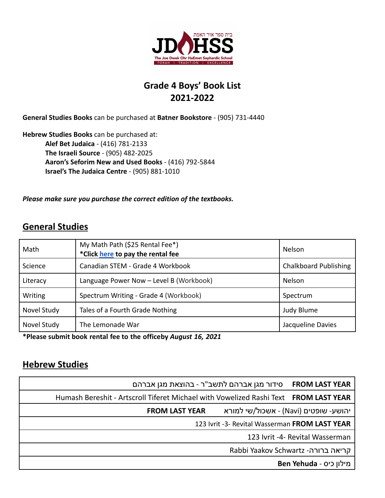

## **Grade 4 Boys' Book List 2021-2022**

**General Studies Books** can be purchased at **Batner Bookstore** - (905) 731-4440

**Hebrew Studies Books** can be purchased at: **Alef Bet Judaica** - (416) 781-2133 **The Israeli Source** - (905) 482-2025 **Aaron's Seforim New and Used Books** - (416) 792-5844 **Israel's The Judaica Centre** - (905) 881-1010

*Please make sure you purchase the correct edition of the textbooks.*

## **General Studies**

| Math        | My Math Path (\$25 Rental Fee*)<br>*Click here to pay the rental fee | <b>Nelson</b>                |
|-------------|----------------------------------------------------------------------|------------------------------|
| Science     | Canadian STEM - Grade 4 Workbook                                     | <b>Chalkboard Publishing</b> |
| Literacy    | Language Power Now - Level B (Workbook)                              | <b>Nelson</b>                |
| Writing     | Spectrum Writing - Grade 4 (Workbook)                                | Spectrum                     |
| Novel Study | Tales of a Fourth Grade Nothing                                      | Judy Blume                   |
| Novel Study | The Lemonade War                                                     | Jacqueline Davies            |

**\*Please submit book rental fee to the officeby** *August 16, 2021*

## **Hebrew Studies**

| סידור מגן אברהם לתשב"ר - בהוצאת מגן אברהם<br><b>FROM LAST YEAR</b>                             |  |  |
|------------------------------------------------------------------------------------------------|--|--|
| Humash Bereshit - Artscroll Tiferet Michael with Vowelized Rashi Text<br><b>FROM LAST YEAR</b> |  |  |
| יהושע- שופטים (Navi) - אשכול/שי למורא<br><b>FROM LAST YEAR</b>                                 |  |  |
| 123 Ivrit -3- Revital Wasserman FROM LAST YEAR                                                 |  |  |
| 123 Ivrit -4- Revital Wasserman                                                                |  |  |
| Rabbi Yaakov Schwartz -קריאה ברורה                                                             |  |  |
| Ben Yehuda - מילון כיס                                                                         |  |  |